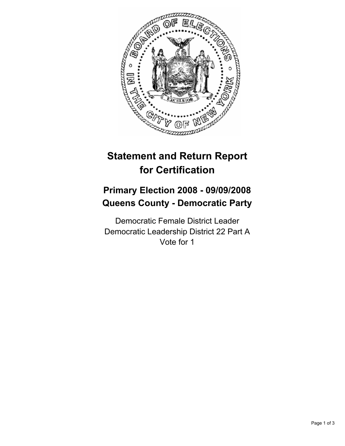

# **Statement and Return Report for Certification**

## **Primary Election 2008 - 09/09/2008 Queens County - Democratic Party**

Democratic Female District Leader Democratic Leadership District 22 Part A Vote for 1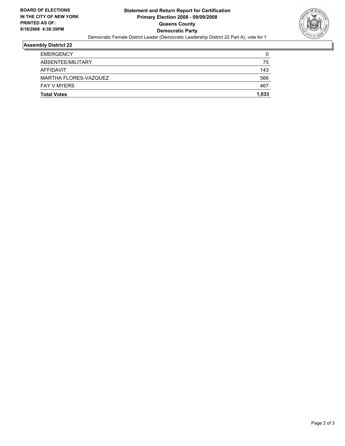

## **Assembly District 22**

| <b>EMERGENCY</b>      |       |
|-----------------------|-------|
| ABSENTEE/MILITARY     | 75    |
| AFFIDAVIT             | 143   |
| MARTHA FLORES-VAZQUEZ | 566   |
| <b>FAY V MYERS</b>    | 467   |
| <b>Total Votes</b>    | 1,033 |